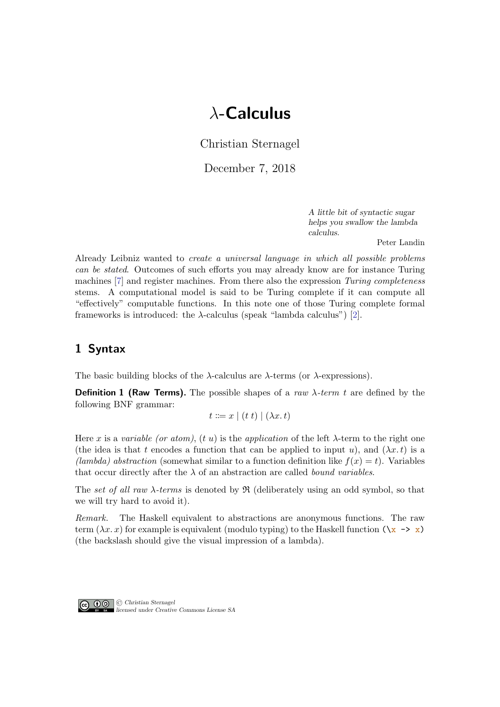# λ-Calculus

Christian Sternagel

December 7, 2018

A little bit of syntactic sugar helps you swallow the lambda calculus.

Peter Landin

Already Leibniz wanted to create a universal language in which all possible problems can be stated. Outcomes of such efforts you may already know are for instance Turing machines [\[7\]](#page-13-0) and register machines. From there also the expression Turing completeness stems. A computational model is said to be Turing complete if it can compute all "effectively" computable functions. In this note one of those Turing complete formal frameworks is introduced: the  $\lambda$ -calculus (speak "lambda calculus") [\[2\]](#page-13-1).

# 1 Syntax

The basic building blocks of the  $\lambda$ -calculus are  $\lambda$ -terms (or  $\lambda$ -expressions).

**Definition 1 (Raw Terms).** The possible shapes of a raw  $\lambda$ -term t are defined by the following BNF grammar:

$$
t ::= x \mid (t \ t) \mid (\lambda x \ t)
$$

Here x is a variable (or atom), (t u) is the application of the left  $\lambda$ -term to the right one (the idea is that t encodes a function that can be applied to input u), and  $(\lambda x. t)$  is a (lambda) abstraction (somewhat similar to a function definition like  $f(x) = t$ ). Variables that occur directly after the  $\lambda$  of an abstraction are called *bound variables*.

The set of all raw  $\lambda$ -terms is denoted by  $\Re$  (deliberately using an odd symbol, so that we will try hard to avoid it).

Remark. The Haskell equivalent to abstractions are anonymous functions. The raw term  $(\lambda x. x)$  for example is equivalent (modulo typing) to the Haskell function  $(\lambda x \rightarrow x)$ (the backslash should give the visual impression of a lambda).

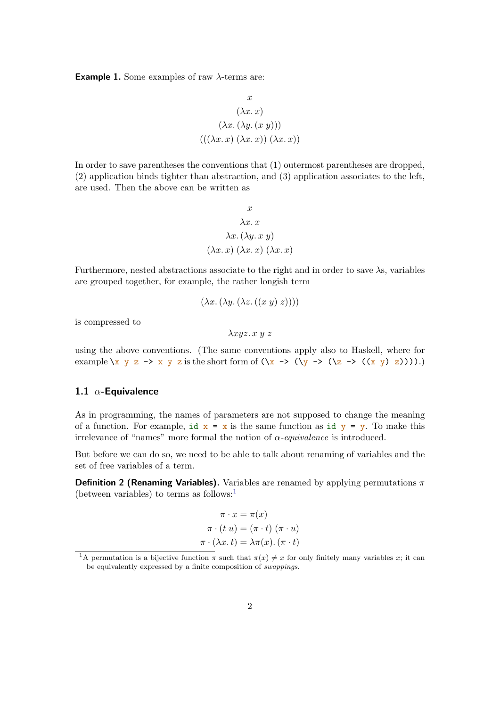**Example 1.** Some examples of raw  $\lambda$ -terms are:

$$
x
$$
  

$$
(\lambda x. x)
$$
  

$$
(\lambda x. (\lambda y. (x y)))
$$
  

$$
(((\lambda x. x) (\lambda x. x)) (\lambda x. x))
$$

In order to save parentheses the conventions that (1) outermost parentheses are dropped, (2) application binds tighter than abstraction, and (3) application associates to the left, are used. Then the above can be written as

$$
x
$$
  

$$
\lambda x. x
$$
  

$$
\lambda x. (\lambda y. x y)
$$
  

$$
(\lambda x. x) (\lambda x. x) (\lambda x. x)
$$

Furthermore, nested abstractions associate to the right and in order to save  $\lambda$ s, variables are grouped together, for example, the rather longish term

$$
(\lambda x. (\lambda y. (\lambda z. ((x y) z))))
$$

is compressed to

 $λxyz. x y z$ 

using the above conventions. (The same conventions apply also to Haskell, where for example  $\langle x \ y \ z \ \rightarrow \ x \ y \ z$  is the short form of  $(\langle x \ \rightarrow (\langle z \ \rightarrow ((x \ y) \ z)) \rangle)$ .

## 1.1  $\alpha$ -Equivalence

As in programming, the names of parameters are not supposed to change the meaning of a function. For example, id  $x = x$  is the same function as id  $y = y$ . To make this irrelevance of "names" more formal the notion of  $\alpha$ -equivalence is introduced.

But before we can do so, we need to be able to talk about renaming of variables and the set of free variables of a term.

**Definition 2 (Renaming Variables).** Variables are renamed by applying permutations  $\pi$ (between variables) to terms as follows:<sup>[1](#page-1-0)</sup>

$$
\pi \cdot x = \pi(x)
$$

$$
\pi \cdot (t \ u) = (\pi \cdot t) (\pi \cdot u)
$$

$$
\pi \cdot (\lambda x \cdot t) = \lambda \pi(x) \cdot (\pi \cdot t)
$$

<span id="page-1-0"></span><sup>&</sup>lt;sup>1</sup>A permutation is a bijective function  $\pi$  such that  $\pi(x) \neq x$  for only finitely many variables x; it can be equivalently expressed by a finite composition of swappings.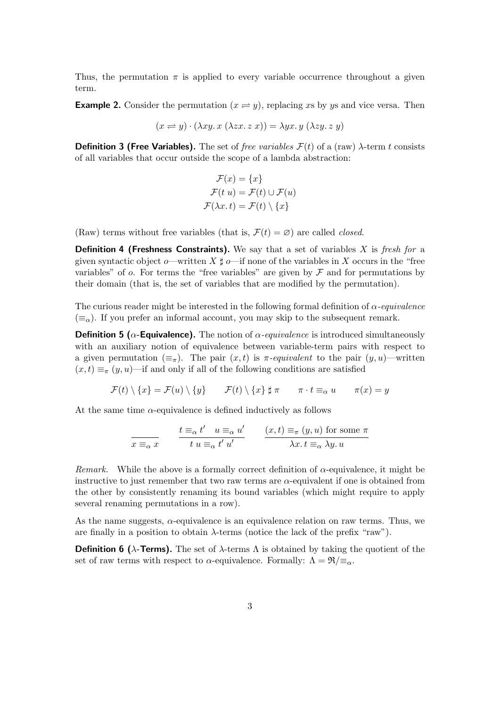Thus, the permutation  $\pi$  is applied to every variable occurrence throughout a given term.

**Example 2.** Consider the permutation  $(x \rightleftharpoons y)$ , replacing xs by ys and vice versa. Then

$$
(x \Rightarrow y) \cdot (\lambda xy. x (\lambda zx. z x)) = \lambda yx. y (\lambda zy. z y)
$$

**Definition 3 (Free Variables).** The set of free variables  $\mathcal{F}(t)$  of a (raw)  $\lambda$ -term t consists of all variables that occur outside the scope of a lambda abstraction:

$$
\mathcal{F}(x) = \{x\}
$$

$$
\mathcal{F}(t|u) = \mathcal{F}(t) \cup \mathcal{F}(u)
$$

$$
\mathcal{F}(\lambda x. t) = \mathcal{F}(t) \setminus \{x\}
$$

(Raw) terms without free variables (that is,  $\mathcal{F}(t) = \emptyset$ ) are called *closed*.

**Definition 4 (Freshness Constraints).** We say that a set of variables X is fresh for a given syntactic object o—written X  $\sharp$  o—if none of the variables in X occurs in the "free variables" of  $o$ . For terms the "free variables" are given by  $\mathcal F$  and for permutations by their domain (that is, the set of variables that are modified by the permutation).

The curious reader might be interested in the following formal definition of  $\alpha$ -equivalence  $(\equiv_{\alpha})$ . If you prefer an informal account, you may skip to the subsequent remark.

**Definition 5 (** $\alpha$ **-Equivalence).** The notion of  $\alpha$ -equivalence is introduced simultaneously with an auxiliary notion of equivalence between variable-term pairs with respect to a given permutation  $(\equiv_{\pi})$ . The pair  $(x, t)$  is  $\pi$ -equivalent to the pair  $(y, u)$ —written  $(x, t) \equiv_{\pi} (y, u)$ —if and only if all of the following conditions are satisfied

$$
\mathcal{F}(t)\setminus\{x\}=\mathcal{F}(u)\setminus\{y\}\qquad \mathcal{F}(t)\setminus\{x\}\ \sharp\ \pi\qquad \pi\cdot t\equiv_\alpha u\qquad \pi(x)=y
$$

At the same time  $\alpha$ -equivalence is defined inductively as follows

$$
\frac{t \equiv_{\alpha} t' \quad u \equiv_{\alpha} u'}{t \quad u \equiv_{\alpha} t' \quad u'} \qquad \frac{(x, t) \equiv_{\pi} (y, u) \text{ for some } \pi}{\lambda x. t \equiv_{\alpha} \lambda y. u}
$$

Remark. While the above is a formally correct definition of  $\alpha$ -equivalence, it might be instructive to just remember that two raw terms are  $\alpha$ -equivalent if one is obtained from the other by consistently renaming its bound variables (which might require to apply several renaming permutations in a row).

As the name suggests,  $\alpha$ -equivalence is an equivalence relation on raw terms. Thus, we are finally in a position to obtain  $\lambda$ -terms (notice the lack of the prefix "raw").

**Definition 6 (λ-Terms).** The set of  $\lambda$ -terms  $\Lambda$  is obtained by taking the quotient of the set of raw terms with respect to  $\alpha$ -equivalence. Formally:  $\Lambda = \Re \overline{\Xi}_{\alpha}$ .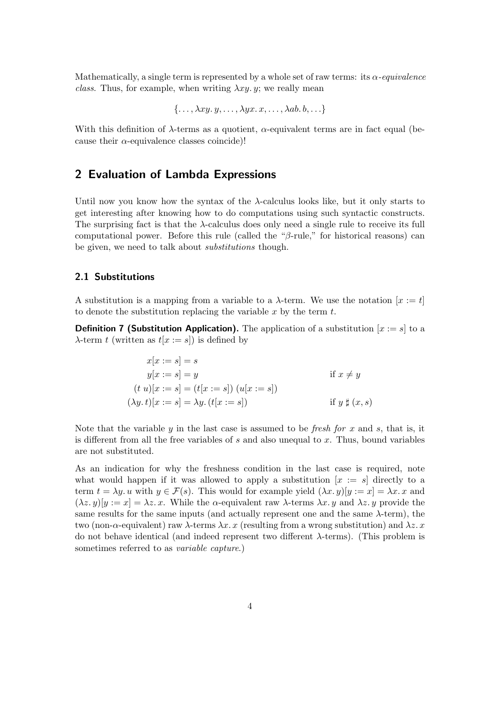Mathematically, a single term is represented by a whole set of raw terms: its  $\alpha$ -equivalence class. Thus, for example, when writing  $\lambda xy. y$ ; we really mean

$$
\{\ldots,\lambda xy.y,\ldots,\lambda yx.x,\ldots,\lambda ab.b,\ldots\}
$$

With this definition of  $\lambda$ -terms as a quotient,  $\alpha$ -equivalent terms are in fact equal (because their  $\alpha$ -equivalence classes coincide)!

## 2 Evaluation of Lambda Expressions

Until now you know how the syntax of the  $\lambda$ -calculus looks like, but it only starts to get interesting after knowing how to do computations using such syntactic constructs. The surprising fact is that the  $\lambda$ -calculus does only need a single rule to receive its full computational power. Before this rule (called the "β-rule," for historical reasons) can be given, we need to talk about *substitutions* though.

#### 2.1 Substitutions

A substitution is a mapping from a variable to a  $\lambda$ -term. We use the notation  $[x := t]$ to denote the substitution replacing the variable  $x$  by the term  $t$ .

**Definition 7 (Substitution Application).** The application of a substitution  $[x := s]$  to a  $\lambda$ -term t (written as  $t[x := s]$ ) is defined by

$$
x[x := s] = s
$$
  
\n
$$
y[x := s] = y
$$
  
\n
$$
(t u)[x := s] = (t[x := s]) (u[x := s])
$$
  
\n
$$
(\lambda y. t)[x := s] = \lambda y. (t[x := s])
$$
  
\nif  $y \sharp (x, s)$ 

Note that the variable  $y$  in the last case is assumed to be *fresh for*  $x$  and  $s$ , that is, it is different from all the free variables of s and also unequal to x. Thus, bound variables are not substituted.

As an indication for why the freshness condition in the last case is required, note what would happen if it was allowed to apply a substitution  $[x := s]$  directly to a term  $t = \lambda y$ . u with  $y \in \mathcal{F}(s)$ . This would for example yield  $(\lambda x, y)[y := x] = \lambda x$ . x and  $(\lambda z. y)[y := x] = \lambda z. x.$  While the  $\alpha$ -equivalent raw  $\lambda$ -terms  $\lambda x. y$  and  $\lambda z. y$  provide the same results for the same inputs (and actually represent one and the same  $\lambda$ -term), the two (non- $\alpha$ -equivalent) raw  $\lambda$ -terms  $\lambda x. x$  (resulting from a wrong substitution) and  $\lambda z. x$ do not behave identical (and indeed represent two different λ-terms). (This problem is sometimes referred to as variable capture.)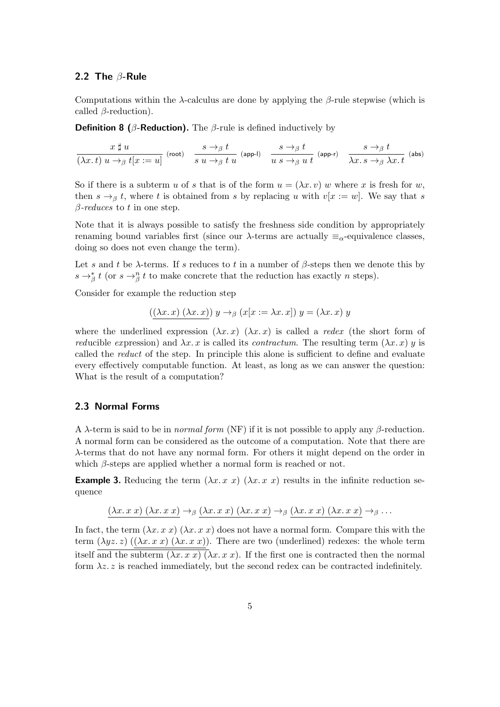#### 2.2 The  $\beta$ -Rule

Computations within the  $\lambda$ -calculus are done by applying the  $\beta$ -rule stepwise (which is called  $\beta$ -reduction).

**Definition 8 (β-Reduction).** The β-rule is defined inductively by

 $x \sharp u$  $\frac{x \not\parallel u}{(\lambda x.\, t)\; u \rightarrow_\beta t [x := u]} \; \; \hbox{(root)} \quad \frac{s \rightarrow_\beta t}{s \; u \rightarrow_\beta t}$  $\frac{s \to_\beta t}{s u \to_\beta t u}$  (app-l)  $\frac{s \to_\beta t}{u s \to_\beta u}$  $\frac{s \to_\beta t}{u \ s \to_\beta u \ t}$  (app-r)  $\frac{s \to_\beta t}{\lambda x. s \to_\beta s}$  $\overline{\lambda x.\, s\rightarrow_{\beta} \lambda x.\, t}$  (abs)

So if there is a subterm u of s that is of the form  $u = (\lambda x. v)$  w where x is fresh for w, then  $s \to_\beta t$ , where t is obtained from s by replacing u with  $v[x := w]$ . We say that s  $\beta$ -reduces to t in one step.

Note that it is always possible to satisfy the freshness side condition by appropriately renaming bound variables first (since our  $\lambda$ -terms are actually  $\equiv_{\alpha}$ -equivalence classes, doing so does not even change the term).

Let s and t be  $\lambda$ -terms. If s reduces to t in a number of  $\beta$ -steps then we denote this by  $s \rightarrow_{\beta}^{*} t$  (or  $s \rightarrow_{\beta}^{n} t$  to make concrete that the reduction has exactly n steps).

Consider for example the reduction step

$$
((\lambda x. x) (\lambda x. x)) y \rightarrow_{\beta} (x[x := \lambda x. x]) y = (\lambda x. x) y
$$

where the underlined expression  $(\lambda x. x)$   $(\lambda x. x)$  is called a redex (the short form of reducible expression) and  $\lambda x. x$  is called its *contractum*. The resulting term  $(\lambda x. x)$  y is called the reduct of the step. In principle this alone is sufficient to define and evaluate every effectively computable function. At least, as long as we can answer the question: What is the result of a computation?

#### 2.3 Normal Forms

A  $\lambda$ -term is said to be in *normal form* (NF) if it is not possible to apply any  $\beta$ -reduction. A normal form can be considered as the outcome of a computation. Note that there are λ-terms that do not have any normal form. For others it might depend on the order in which  $\beta$ -steps are applied whether a normal form is reached or not.

**Example 3.** Reducing the term  $(\lambda x. x x) (\lambda x. x x)$  results in the infinite reduction sequence

$$
(\lambda x. x x) (\lambda x. x x) \rightarrow_{\beta} (\lambda x. x x) (\lambda x. x x) \rightarrow_{\beta} (\lambda x. x x) (\lambda x. x x) \rightarrow_{\beta} \dots
$$

In fact, the term  $(\lambda x. x x) (\lambda x. x x)$  does not have a normal form. Compare this with the term  $(\lambda yz. z)$   $((\lambda x. x x) (\lambda x. x x))$ . There are two (underlined) redexes: the whole term itself and the subterm  $(\lambda x. x x) (\lambda x. x x)$ . If the first one is contracted then the normal form  $\lambda z$ . z is reached immediately, but the second redex can be contracted indefinitely.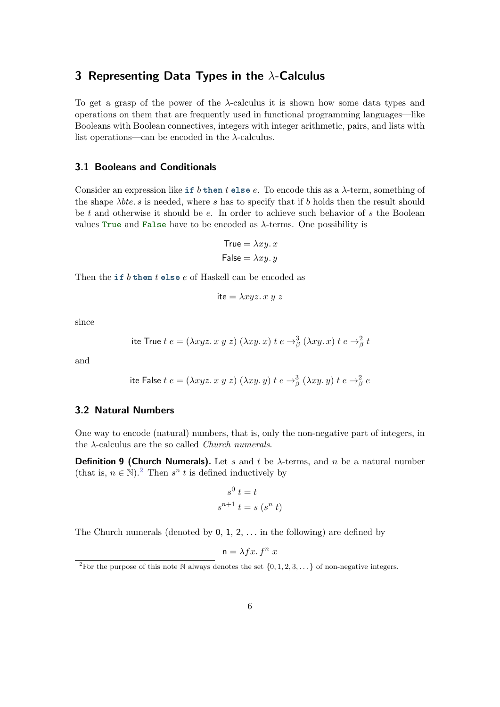## 3 Representing Data Types in the  $\lambda$ -Calculus

To get a grasp of the power of the λ-calculus it is shown how some data types and operations on them that are frequently used in functional programming languages—like Booleans with Boolean connectives, integers with integer arithmetic, pairs, and lists with list operations—can be encoded in the  $\lambda$ -calculus.

## 3.1 Booleans and Conditionals

Consider an expression like if b then t else e. To encode this as a  $\lambda$ -term, something of the shape  $\lambda b t e. s$  is needed, where s has to specify that if b holds then the result should be t and otherwise it should be e. In order to achieve such behavior of s the Boolean values True and False have to be encoded as  $\lambda$ -terms. One possibility is

$$
True = \lambda xy. x
$$

$$
False = \lambda xy. y
$$

Then the if  $b$  then  $t$  else  $e$  of Haskell can be encoded as

$$
i\mathsf{te} = \lambda xyz. \, x \, y \, z
$$

since

ite True 
$$
t e = (\lambda xyz. x y z) (\lambda xy. x) t e \rightarrow^3_{\beta} (\lambda xy. x) t e \rightarrow^2_{\beta} t
$$

and

ite False 
$$
t e = (\lambda x y z. x y z) (\lambda x y. y) t e \rightarrow^3_\beta (\lambda x y. y) t e \rightarrow^2_\beta e
$$

#### 3.2 Natural Numbers

One way to encode (natural) numbers, that is, only the non-negative part of integers, in the  $\lambda$ -calculus are the so called *Church numerals*.

**Definition 9 (Church Numerals).** Let s and t be  $\lambda$ -terms, and n be a natural number (that is,  $n \in \mathbb{N}$ ).<sup>[2](#page-5-0)</sup> Then  $s^n$  t is defined inductively by

$$
s^{0} t = t
$$
  

$$
s^{n+1} t = s (s^{n} t)
$$

The Church numerals (denoted by  $0, 1, 2, \ldots$  in the following) are defined by

$$
\mathsf{n} = \lambda fx. \, f^n \, x
$$

<span id="page-5-0"></span><sup>&</sup>lt;sup>2</sup>For the purpose of this note N always denotes the set  $\{0, 1, 2, 3, \dots\}$  of non-negative integers.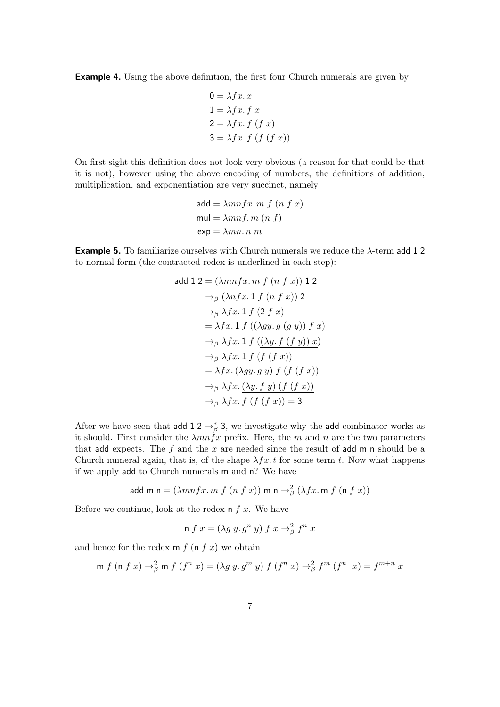Example 4. Using the above definition, the first four Church numerals are given by

$$
0 = \lambda fx. x
$$
  
\n
$$
1 = \lambda fx. f x
$$
  
\n
$$
2 = \lambda fx. f (f x)
$$
  
\n
$$
3 = \lambda fx. f (f (f x))
$$

On first sight this definition does not look very obvious (a reason for that could be that it is not), however using the above encoding of numbers, the definitions of addition, multiplication, and exponentiation are very succinct, namely

$$
add = \lambda mnfx.m f (n f x)
$$
  
mul = \lambda mnf.m (n f)  
exp = \lambda mn.n m

**Example 5.** To familiarize ourselves with Church numerals we reduce the  $\lambda$ -term add 12 to normal form (the contracted redex is underlined in each step):

$$
add 1 2 = \underbrace{(\lambda mnfx, m f (n f x)) 1}_{\rightarrow \beta} 2
$$
\n
$$
\rightarrow_{\beta} (\lambda nfx. 1 f (n f x)) 2
$$
\n
$$
\rightarrow_{\beta} \lambda fx. 1 f (2 f x)
$$
\n
$$
= \lambda fx. 1 f ((\lambda gy. g (g y)) f x)
$$
\n
$$
\rightarrow_{\beta} \lambda fx. 1 f ((\lambda y. f (f y)) x)
$$
\n
$$
\rightarrow_{\beta} \lambda fx. 1 f (f (f x))
$$
\n
$$
= \lambda fx. (\lambda gy. g y) f (f (f x))
$$
\n
$$
\rightarrow_{\beta} \lambda fx. \overline{(\lambda y. f y) (f (f x))}
$$
\n
$$
\rightarrow_{\beta} \lambda fx. f (f (f x)) = 3
$$

After we have seen that add  $1 \, 2 \rightarrow^*_{\beta} 3$ , we investigate why the add combinator works as it should. First consider the  $\lambda mn\hat{f}x$  prefix. Here, the m and n are the two parameters that add expects. The f and the x are needed since the result of add m n should be a Church numeral again, that is, of the shape  $\lambda fx.t$  for some term t. Now what happens if we apply add to Church numerals m and n? We have

add m n = 
$$
(\lambda mnfx \cdot m f (n f x))
$$
 m n  $\rightarrow \frac{2}{\beta} (\lambda fx \cdot m f (n f x))$ 

Before we continue, look at the redex  $n \, f \, x$ . We have

n
$$
f x = (\lambda g y. g^n y) f x \rightarrow^2_{\beta} f^n x
$$

and hence for the redex  $m f (n f x)$  we obtain

$$
\text{m}\;f\;(\text{n}\;f\;x)\to^2_\beta\text{m}\;f\;(f^n\;x)=(\lambda g\;y.\,g^m\;y)\;f\;(f^n\;x)\to^2_\beta f^m\;(f^n\;\;x)=f^{m+n}\;x
$$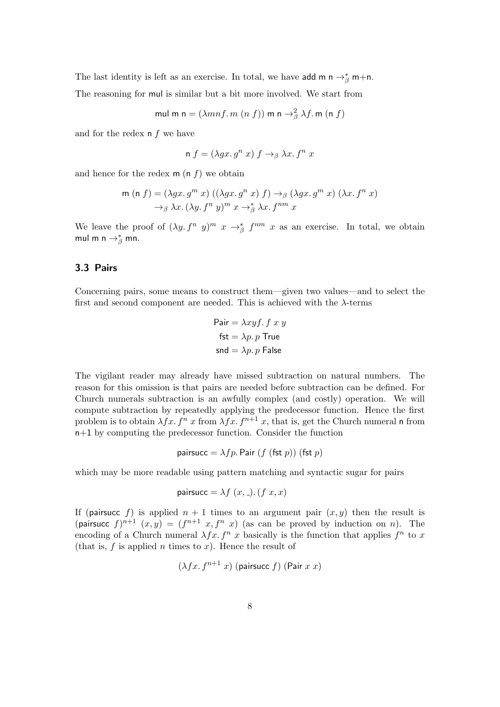The last identity is left as an exercise. In total, we have add m n  $\rightarrow_{\beta}^*$  m+n.

The reasoning for mul is similar but a bit more involved. We start from

mul m n  $= (\lambda mnf.m~(n~f))$  m n  $\rightarrow^2_\beta \lambda f$ . m (n  $f)$ 

and for the redex  $n f$  we have

n 
$$
f = (\lambda gx. g^n x) f \rightarrow_{\beta} \lambda x. f^n x
$$

and hence for the redex  $m(n f)$  we obtain

$$
\begin{aligned} \mathsf{m} \ (\mathsf{n} \ f) &= (\lambda gx.\, g^m \ x) \ ((\lambda gx.\, g^n \ x) \ f) \rightarrow_{\beta} (\lambda gx.\, g^m \ x) \ (\lambda x.\, f^n \ x) \\ \rightarrow_{\beta} \lambda x.\, (\lambda y.\, f^n \ y)^m \ x \rightarrow_{\beta}^* \lambda x.\, f^{nm} \ x \end{aligned}
$$

We leave the proof of  $(\lambda y. f^n y)^m x \to^*_{\beta} f^{nm} x$  as an exercise. In total, we obtain mul m n  $\rightarrow^*_{\beta}$  mn.

## 3.3 Pairs

Concerning pairs, some means to construct them—given two values—and to select the first and second component are needed. This is achieved with the  $\lambda$ -terms

$$
Pair = \lambda xyf. f x y
$$
  
fst =  $\lambda p. p$  True  
snd =  $\lambda p. p$  False

The vigilant reader may already have missed subtraction on natural numbers. The reason for this omission is that pairs are needed before subtraction can be defined. For Church numerals subtraction is an awfully complex (and costly) operation. We will compute subtraction by repeatedly applying the predecessor function. Hence the first problem is to obtain  $\lambda fx. f^n x$  from  $\lambda fx. f^{n+1} x$ , that is, get the Church numeral n from n+1 by computing the predecessor function. Consider the function

$$
pairsucc = \lambda fp. \text{ Pair } (f \text{ (fst } p)) \text{ (fst } p)
$$

which may be more readable using pattern matching and syntactic sugar for pairs

$$
pairsucc = \lambda f(x, \cdot). (f x, x)
$$

If (pairsucc f) is applied  $n + 1$  times to an argument pair  $(x, y)$  then the result is (pairsuce  $f^{n+1}(x,y) = (f^{n+1}x, f^n x)$  (as can be proved by induction on n). The encoding of a Church numeral  $\lambda fx. f^n x$  basically is the function that applies  $f^n$  to x (that is,  $f$  is applied  $n$  times to  $x$ ). Hence the result of

$$
(\lambda fx. f^{n+1} x) \text{ (pairsucc } f) \text{ (Pair } x x)
$$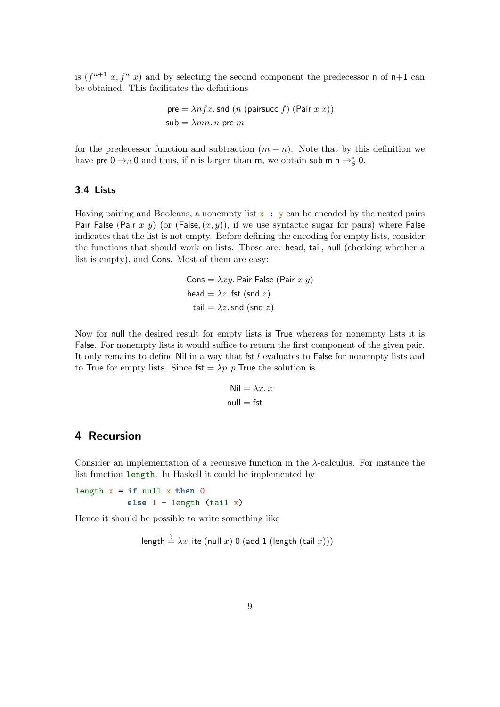is  $(f^{n+1}x, f^n x)$  and by selecting the second component the predecessor n of n+1 can be obtained. This facilitates the definitions

pre = 
$$
\lambda nfx
$$
.snd (*n* (pairsucc *f*) (Pair *x x*))  
sub =  $\lambda mn$ . *n* pre *m*

for the predecessor function and subtraction  $(m - n)$ . Note that by this definition we have pre  $0 \to_{\beta} 0$  and thus, if n is larger than m, we obtain sub m n  $\to_{\beta}^* 0$ .

## 3.4 Lists

Having pairing and Booleans, a nonempty list  $x : y$  can be encoded by the nested pairs Pair False (Pair x y) (or (False,  $(x, y)$ ), if we use syntactic sugar for pairs) where False indicates that the list is not empty. Before defining the encoding for empty lists, consider the functions that should work on lists. Those are: head, tail, null (checking whether a list is empty), and Cons. Most of them are easy:

> Cons =  $\lambda xy$ . Pair False (Pair x y) head =  $\lambda z$ . fst (snd z) tail =  $\lambda z$ . snd (snd z)

Now for null the desired result for empty lists is True whereas for nonempty lists it is False. For nonempty lists it would suffice to return the first component of the given pair. It only remains to define Nil in a way that fst  $l$  evaluates to False for nonempty lists and to True for empty lists. Since  $fst = \lambda p$ . p True the solution is

$$
\text{Nil} = \lambda x. x
$$
  
null = fst

## 4 Recursion

Consider an implementation of a recursive function in the  $\lambda$ -calculus. For instance the list function length. In Haskell it could be implemented by

length  $x = if null x then 0$ else  $1 +$  length (tail x)

Hence it should be possible to write something like

length 
$$
\stackrel{?}{=}
$$
  $\lambda x$ . ite (null x) 0 (add 1 (length (tail x)))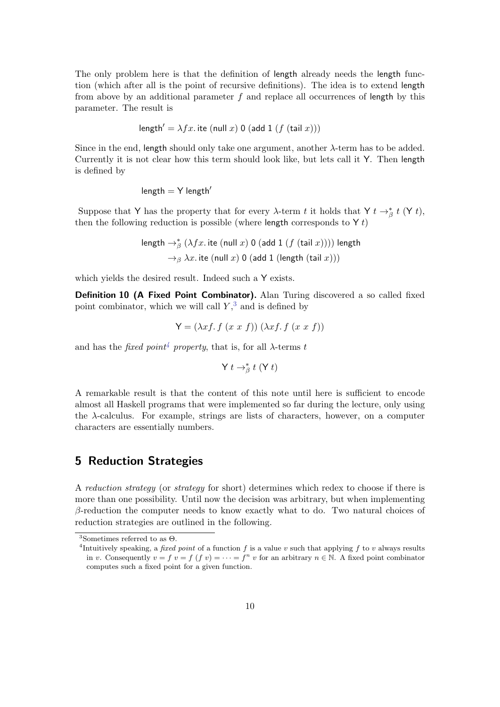The only problem here is that the definition of length already needs the length function (which after all is the point of recursive definitions). The idea is to extend length from above by an additional parameter  $f$  and replace all occurrences of length by this parameter. The result is

$$
length' = \lambda fx. \text{ ite (null } x) 0 (add 1 (f (tail x)))
$$

Since in the end, length should only take one argument, another  $\lambda$ -term has to be added. Currently it is not clear how this term should look like, but lets call it Y. Then length is defined by

$$
length = Y length'
$$

Suppose that Y has the property that for every  $\lambda$ -term t it holds that Y t  $\rightarrow_{\beta}^*$  t (Y t), then the following reduction is possible (where length corresponds to  $Yt$ )

> length  $\rightarrow^*_{\beta} (\lambda fx.$  ite (null  $x)$  0 (add 1  $(f$  (tail  $x))))$  length  $\rightarrow$ <sub>β</sub>  $\lambda x$ . ite (null x) 0 (add 1 (length (tail x)))

which yields the desired result. Indeed such a Y exists.

Definition 10 (A Fixed Point Combinator). Alan Turing discovered a so called fixed point combinator, which we will call  $Y$ ,  $3$  and is defined by

$$
Y = (\lambda x f. f (x x f)) (\lambda x f. f (x x f))
$$

and has the *fixed point<sup>[4](#page-9-1)</sup> property*, that is, for all  $\lambda$ -terms t

$$
\mathsf{Y}\;t\to_{\beta}^* t\;(\mathsf{Y}\;t)
$$

A remarkable result is that the content of this note until here is sufficient to encode almost all Haskell programs that were implemented so far during the lecture, only using the  $\lambda$ -calculus. For example, strings are lists of characters, however, on a computer characters are essentially numbers.

## 5 Reduction Strategies

A reduction strategy (or strategy for short) determines which redex to choose if there is more than one possibility. Until now the decision was arbitrary, but when implementing  $\beta$ -reduction the computer needs to know exactly what to do. Two natural choices of reduction strategies are outlined in the following.

<span id="page-9-0"></span><sup>&</sup>lt;sup>3</sup>Sometimes referred to as  $\Theta$ .

<span id="page-9-1"></span><sup>&</sup>lt;sup>4</sup>Intuitively speaking, a *fixed point* of a function f is a value v such that applying f to v always results in v. Consequently  $v = f$   $(v = f$   $(f v) = \cdots = f^{n} v$  for an arbitrary  $n \in \mathbb{N}$ . A fixed point combinator computes such a fixed point for a given function.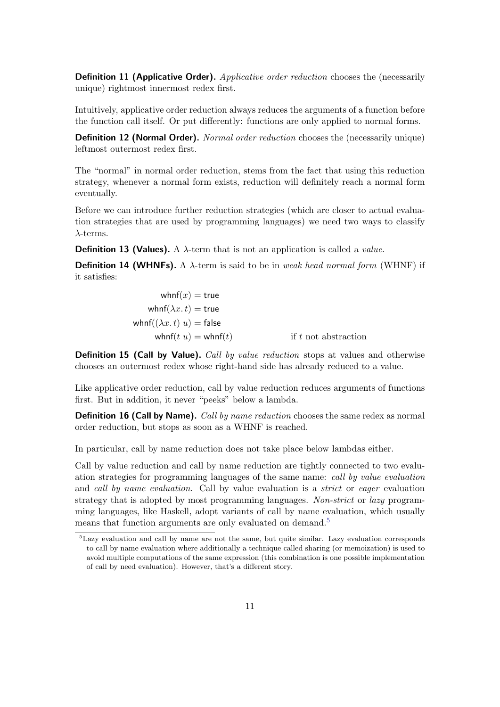**Definition 11 (Applicative Order).** Applicative order reduction chooses the (necessarily unique) rightmost innermost redex first.

Intuitively, applicative order reduction always reduces the arguments of a function before the function call itself. Or put differently: functions are only applied to normal forms.

**Definition 12 (Normal Order).** Normal order reduction chooses the (necessarily unique) leftmost outermost redex first.

The "normal" in normal order reduction, stems from the fact that using this reduction strategy, whenever a normal form exists, reduction will definitely reach a normal form eventually.

Before we can introduce further reduction strategies (which are closer to actual evaluation strategies that are used by programming languages) we need two ways to classify  $\lambda$ -terms.

**Definition 13 (Values).** A  $\lambda$ -term that is not an application is called a *value*.

**Definition 14 (WHNFs).** A  $\lambda$ -term is said to be in weak head normal form (WHNF) if it satisfies:

| whnf $(x)$ = true                 |                        |
|-----------------------------------|------------------------|
| whnf $(\lambda x. t)$ = true      |                        |
| whnf $((\lambda x. t) u)$ = false |                        |
| whnf $(t u)$ = whnf $(t)$         | if $t$ not abstraction |

**Definition 15 (Call by Value).** Call by value reduction stops at values and otherwise chooses an outermost redex whose right-hand side has already reduced to a value.

Like applicative order reduction, call by value reduction reduces arguments of functions first. But in addition, it never "peeks" below a lambda.

**Definition 16 (Call by Name).** Call by name reduction chooses the same redex as normal order reduction, but stops as soon as a WHNF is reached.

In particular, call by name reduction does not take place below lambdas either.

Call by value reduction and call by name reduction are tightly connected to two evaluation strategies for programming languages of the same name: call by value evaluation and call by name evaluation. Call by value evaluation is a *strict* or eager evaluation strategy that is adopted by most programming languages. Non-strict or lazy programming languages, like Haskell, adopt variants of call by name evaluation, which usually means that function arguments are only evaluated on demand.<sup>[5](#page-10-0)</sup>

<span id="page-10-0"></span><sup>5</sup>Lazy evaluation and call by name are not the same, but quite similar. Lazy evaluation corresponds to call by name evaluation where additionally a technique called sharing (or memoization) is used to avoid multiple computations of the same expression (this combination is one possible implementation of call by need evaluation). However, that's a different story.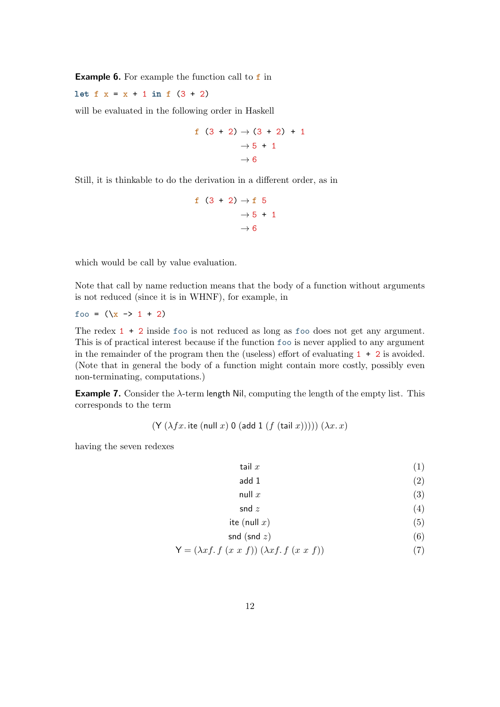**Example 6.** For example the function call to  $f$  in

let  $f(x) = x + 1$  in  $f(3 + 2)$ 

will be evaluated in the following order in Haskell

$$
\begin{array}{c}\n\text{f} \quad (3+2) \rightarrow (3+2) + 1 \\
\rightarrow 5 + 1 \\
\rightarrow 6\n\end{array}
$$

Still, it is thinkable to do the derivation in a different order, as in

$$
\begin{array}{c}\n\text{f} & (3+2) \rightarrow \text{f} & 5 \\
\rightarrow 5 + 1 \\
\rightarrow 6\n\end{array}
$$

which would be call by value evaluation.

Note that call by name reduction means that the body of a function without arguments is not reduced (since it is in WHNF), for example, in

foo =  $(\x \rightarrow x \rightarrow 1 + 2)$ 

The redex 1 + 2 inside foo is not reduced as long as foo does not get any argument. This is of practical interest because if the function foo is never applied to any argument in the remainder of the program then the (useless) effort of evaluating  $1 + 2$  is avoided. (Note that in general the body of a function might contain more costly, possibly even non-terminating, computations.)

**Example 7.** Consider the  $\lambda$ -term length Nil, computing the length of the empty list. This corresponds to the term

$$
(\mathsf{Y}(\lambda fx.\ \mathsf{ite}\ (\mathsf{null}\ x)\ \mathsf{0}\ (\mathsf{add}\ 1\ (f\ (\mathsf{tail}\ x))))\ (\lambda x.\ x)
$$

having the seven redexes

- tail  $x$  (1)
- add 1  $(2)$
- null  $x$  (3)
- <span id="page-11-2"></span><span id="page-11-1"></span><span id="page-11-0"></span>snd  $z$  (4)

$$
ite (null x) \tag{5}
$$

$$
\mathsf{snd}(\mathsf{snd} \ z) \tag{6}
$$

$$
\mathsf{Y} = (\lambda x f. f (x x f)) (\lambda x f. f (x x f)) \tag{7}
$$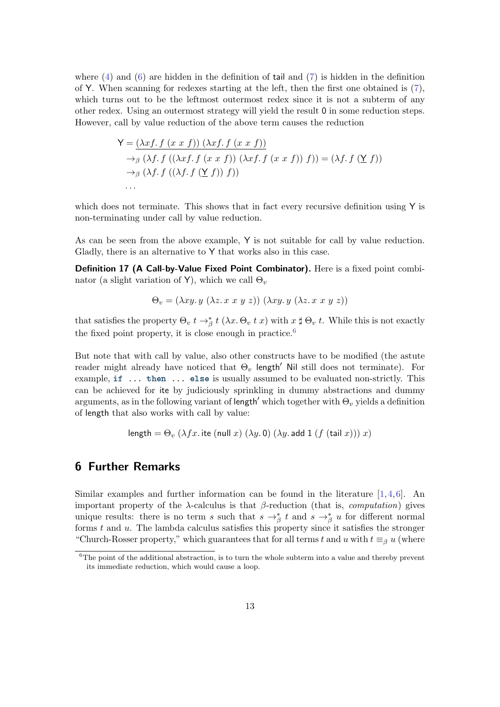where  $(4)$  and  $(6)$  are hidden in the definition of tail and  $(7)$  is hidden in the definition of Y. When scanning for redexes starting at the left, then the first one obtained is  $(7)$ , which turns out to be the leftmost outermost redex since it is not a subterm of any other redex. Using an outermost strategy will yield the result 0 in some reduction steps. However, call by value reduction of the above term causes the reduction

$$
\mathsf{Y} = \underbrace{(\lambda x f. f (x \ x \ f)) (\lambda x f. f (x \ x \ f))}_{\rightarrow \beta} \n\rightarrow_{\beta} (\lambda f. f ((\lambda x f. f (x \ x \ f)) (\lambda x f. f (x \ x \ f)) \ f)) = (\lambda f. f (\underline{\mathsf{Y}} \ f)) \n\rightarrow_{\beta} (\lambda f. f ((\lambda f. f (\underline{\mathsf{Y}} \ f)) \ f)) \n\cdots
$$

which does not terminate. This shows that in fact every recursive definition using Y is non-terminating under call by value reduction.

As can be seen from the above example, Y is not suitable for call by value reduction. Gladly, there is an alternative to Y that works also in this case.

Definition 17 (A Call-by-Value Fixed Point Combinator). Here is a fixed point combinator (a slight variation of Y), which we call  $\Theta_v$ 

$$
\Theta_v = (\lambda xy. y \ (\lambda z. x \ x \ y \ z)) \ (\lambda xy. y \ (\lambda z. x \ x \ y \ z))
$$

that satisfies the property  $\Theta_v t \to^*_{\beta} t (\lambda x. \Theta_v t x)$  with  $x \sharp \Theta_v t$ . While this is not exactly the fixed point property, it is close enough in practice.<sup>[6](#page-12-0)</sup>

But note that with call by value, also other constructs have to be modified (the astute reader might already have noticed that  $\Theta_v$  length' Nil still does not terminate). For example, if ... then ... else is usually assumed to be evaluated non-strictly. This can be achieved for ite by judiciously sprinkling in dummy abstractions and dummy arguments, as in the following variant of length' which together with  $\Theta_v$  yields a definition of length that also works with call by value:

length = 
$$
\Theta_v
$$
 ( $\lambda fx$ .ite (null x) ( $\lambda y$ . 0) ( $\lambda y$ . add 1 ( $f$  (tail x))) x)

## 6 Further Remarks

Similar examples and further information can be found in the literature  $[1,4,6]$  $[1,4,6]$  $[1,4,6]$ . An important property of the  $λ$ -calculus is that  $β$ -reduction (that is, *computation*) gives unique results: there is no term s such that  $s \to^*_{\beta} t$  and  $s \to^*_{\beta} u$  for different normal forms  $t$  and  $u$ . The lambda calculus satisfies this property since it satisfies the stronger "Church-Rosser property," which guarantees that for all terms t and u with  $t \equiv_{\beta} u$  (where

<span id="page-12-0"></span> $6$ The point of the additional abstraction, is to turn the whole subterm into a value and thereby prevent its immediate reduction, which would cause a loop.